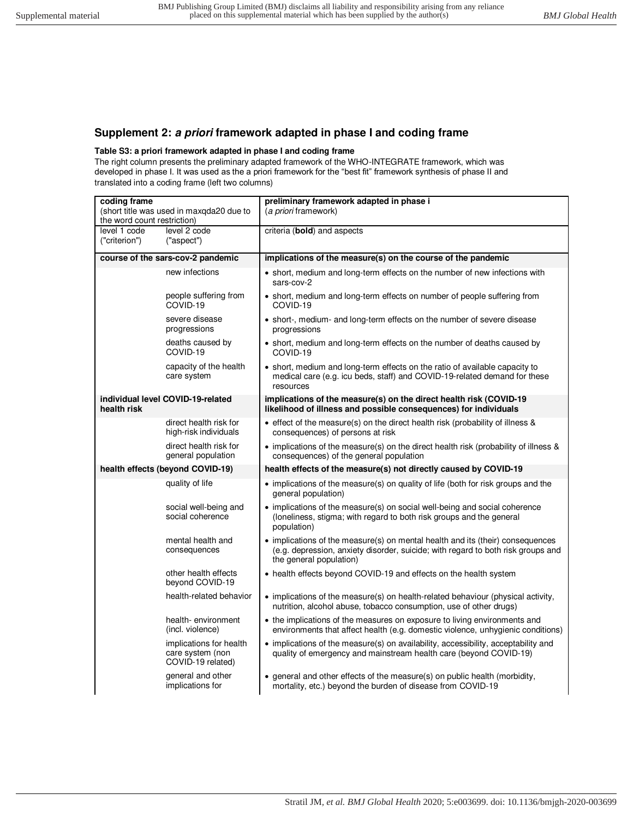## **Supplement 2:** *a priori* **framework adapted in phase I and coding frame**

## **Table S3: a priori framework adapted in phase I and coding frame**

The right column presents the preliminary adapted framework of the WHO-INTEGRATE framework, which was developed in phase I. It was used as the a priori framework for the "best fit" framework synthesis of phase II and translated into a coding frame (left two columns)

| coding frame<br>(short title was used in maxgda20 due to<br>the word count restriction) |                                                                  | preliminary framework adapted in phase i<br>(a priori framework)                                                                                                                              |
|-----------------------------------------------------------------------------------------|------------------------------------------------------------------|-----------------------------------------------------------------------------------------------------------------------------------------------------------------------------------------------|
| level 1 code<br>("criterion")                                                           | level 2 code<br>("aspect")                                       | criteria (bold) and aspects                                                                                                                                                                   |
| course of the sars-cov-2 pandemic                                                       |                                                                  | implications of the measure(s) on the course of the pandemic                                                                                                                                  |
|                                                                                         | new infections                                                   | • short, medium and long-term effects on the number of new infections with<br>sars-cov-2                                                                                                      |
|                                                                                         | people suffering from<br>COVID-19                                | • short, medium and long-term effects on number of people suffering from<br>COVID-19                                                                                                          |
|                                                                                         | severe disease<br>progressions                                   | • short-, medium- and long-term effects on the number of severe disease<br>progressions                                                                                                       |
|                                                                                         | deaths caused by<br>COVID-19                                     | • short, medium and long-term effects on the number of deaths caused by<br>COVID-19                                                                                                           |
|                                                                                         | capacity of the health<br>care system                            | • short, medium and long-term effects on the ratio of available capacity to<br>medical care (e.g. icu beds, staff) and COVID-19-related demand for these<br>resources                         |
| individual level COVID-19-related<br>health risk                                        |                                                                  | implications of the measure(s) on the direct health risk (COVID-19<br>likelihood of illness and possible consequences) for individuals                                                        |
|                                                                                         | direct health risk for<br>high-risk individuals                  | $\bullet$ effect of the measure(s) on the direct health risk (probability of illness &<br>consequences) of persons at risk                                                                    |
|                                                                                         | direct health risk for<br>general population                     | • implications of the measure(s) on the direct health risk (probability of illness &<br>consequences) of the general population                                                               |
| health effects (beyond COVID-19)                                                        |                                                                  | health effects of the measure(s) not directly caused by COVID-19                                                                                                                              |
|                                                                                         | quality of life                                                  | • implications of the measure(s) on quality of life (both for risk groups and the<br>general population)                                                                                      |
|                                                                                         | social well-being and<br>social coherence                        | $\bullet$ implications of the measure(s) on social well-being and social coherence<br>(loneliness, stigma; with regard to both risk groups and the general<br>population)                     |
|                                                                                         | mental health and<br>consequences                                | • implications of the measure(s) on mental health and its (their) consequences<br>(e.g. depression, anxiety disorder, suicide; with regard to both risk groups and<br>the general population) |
|                                                                                         | other health effects<br>beyond COVID-19                          | • health effects beyond COVID-19 and effects on the health system                                                                                                                             |
|                                                                                         | health-related behavior                                          | • implications of the measure(s) on health-related behaviour (physical activity,<br>nutrition, alcohol abuse, tobacco consumption, use of other drugs)                                        |
|                                                                                         | health-environment<br>(incl. violence)                           | • the implications of the measures on exposure to living environments and<br>environments that affect health (e.g. domestic violence, unhygienic conditions)                                  |
|                                                                                         | implications for health<br>care system (non<br>COVID-19 related) | • implications of the measure(s) on availability, accessibility, acceptability and<br>quality of emergency and mainstream health care (beyond COVID-19)                                       |
|                                                                                         | general and other<br>implications for                            | • general and other effects of the measure(s) on public health (morbidity,<br>mortality, etc.) beyond the burden of disease from COVID-19                                                     |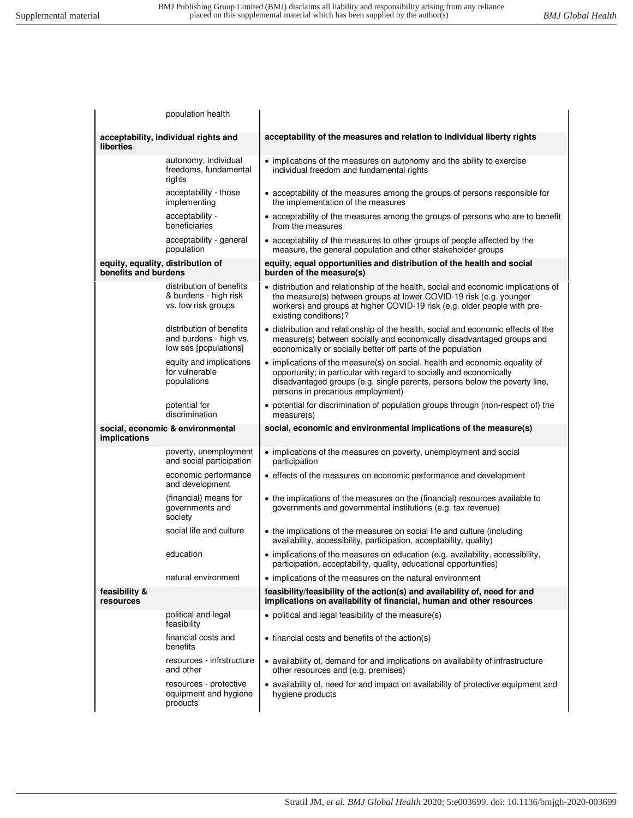|                                                           | population health                                                           |                                                                                                                                                                                                                                                                       |
|-----------------------------------------------------------|-----------------------------------------------------------------------------|-----------------------------------------------------------------------------------------------------------------------------------------------------------------------------------------------------------------------------------------------------------------------|
| acceptability, individual rights and<br>liberties         |                                                                             | acceptability of the measures and relation to individual liberty rights                                                                                                                                                                                               |
|                                                           | autonomy, individual<br>freedoms, fundamental<br>rights                     | • implications of the measures on autonomy and the ability to exercise<br>individual freedom and fundamental rights                                                                                                                                                   |
|                                                           | acceptability - those<br>implementing                                       | • acceptability of the measures among the groups of persons responsible for<br>the implementation of the measures                                                                                                                                                     |
|                                                           | acceptability -<br>beneficiaries                                            | • acceptability of the measures among the groups of persons who are to benefit<br>from the measures                                                                                                                                                                   |
|                                                           | acceptability - general<br>population                                       | • acceptability of the measures to other groups of people affected by the<br>measure, the general population and other stakeholder groups                                                                                                                             |
| equity, equality, distribution of<br>benefits and burdens |                                                                             | equity, equal opportunities and distribution of the health and social<br>burden of the measure(s)                                                                                                                                                                     |
|                                                           | distribution of benefits<br>& burdens - high risk<br>vs. low risk groups    | • distribution and relationship of the health, social and economic implications of<br>the measure(s) between groups at lower COVID-19 risk (e.g. younger<br>workers) and groups at higher COVID-19 risk (e.g. older people with pre-<br>existing conditions)?         |
|                                                           | distribution of benefits<br>and burdens - high vs.<br>low ses [populations] | • distribution and relationship of the health, social and economic effects of the<br>measure(s) between socially and economically disadvantaged groups and<br>economically or socially better off parts of the population                                             |
|                                                           | equity and implications<br>for vulnerable<br>populations                    | • implications of the measure(s) on social, health and economic equality of<br>opportunity; in particular with regard to socially and economically<br>disadvantaged groups (e.g. single parents, persons below the poverty line,<br>persons in precarious employment) |
|                                                           | potential for<br>discrimination                                             | • potential for discrimination of population groups through (non-respect of) the<br>measure(s)                                                                                                                                                                        |
| social, economic & environmental<br>implications          |                                                                             | social, economic and environmental implications of the measure(s)                                                                                                                                                                                                     |
|                                                           |                                                                             |                                                                                                                                                                                                                                                                       |
|                                                           | poverty, unemployment<br>and social participation                           | • implications of the measures on poverty, unemployment and social<br>participation                                                                                                                                                                                   |
|                                                           | economic performance<br>and development                                     | • effects of the measures on economic performance and development                                                                                                                                                                                                     |
|                                                           | (financial) means for<br>governments and<br>society                         | • the implications of the measures on the (financial) resources available to<br>governments and governmental institutions (e.g. tax revenue)                                                                                                                          |
|                                                           | social life and culture                                                     | • the implications of the measures on social life and culture (including<br>availability, accessibility, participation, acceptability, quality)                                                                                                                       |
|                                                           | education                                                                   | • implications of the measures on education (e.g. availability, accessibility,<br>participation, acceptability, quality, educational opportunities)                                                                                                                   |
|                                                           | natural environment                                                         | • implications of the measures on the natural environment                                                                                                                                                                                                             |
| feasibility &<br>resources                                |                                                                             | feasibility/feasibility of the action(s) and availability of, need for and<br>implications on availability of financial, human and other resources                                                                                                                    |
|                                                           | political and legal<br>feasibility                                          | • political and legal feasibility of the measure(s)                                                                                                                                                                                                                   |
|                                                           | financial costs and<br>benefits                                             | • financial costs and benefits of the action(s)                                                                                                                                                                                                                       |
|                                                           | resources - infrstructure<br>and other                                      | • availability of, demand for and implications on availability of infrastructure<br>other resources and (e.g. premises)                                                                                                                                               |